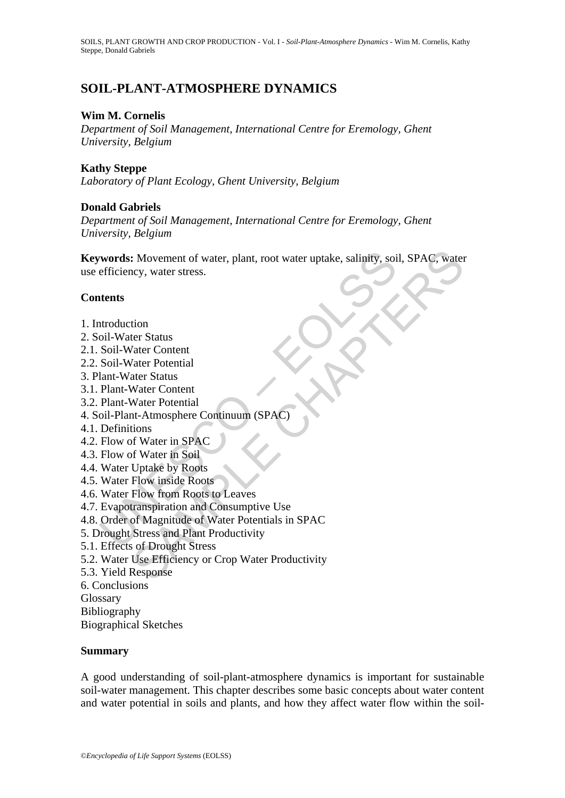# **SOIL-PLANT-ATMOSPHERE DYNAMICS**

## **Wim M. Cornelis**

*Department of Soil Management, International Centre for Eremology, Ghent University, Belgium*

### **Kathy Steppe**

*Laboratory of Plant Ecology, Ghent University, Belgium* 

## **Donald Gabriels**

*Department of Soil Management, International Centre for Eremology, Ghent University, Belgium*

**Example 18:** Movement of water, plant, root water uptake, salinity, soietfficiency, water stress.<br> **Altricular Stress (ACC)**<br> **Example 19:** Water Content<br>
Soil-Water Content<br>
Soil-Water Potential<br>
lant-Water Content<br>
Plan : Movement of water, plant, root water uptake, salinity, soil, SPAC, water<br>ccy, water stress.<br>ter Status<br>ter Status<br>dater Potential<br>ater Status<br>water Content<br>Water Content<br>water Content<br>water Potential<br>that at Atmosphere C **Keywords:** Movement of water, plant, root water uptake, salinity, soil, SPAC, water use efficiency, water stress.

## **Contents**

- 1. Introduction
- 2. Soil-Water Status
- 2.1. Soil-Water Content
- 2.2. Soil-Water Potential
- 3. Plant-Water Status
- 3.1. Plant-Water Content
- 3.2. Plant-Water Potential
- 4. Soil-Plant-Atmosphere Continuum (SPAC)
- 4.1. Definitions
- 4.2. Flow of Water in SPAC
- 4.3. Flow of Water in Soil
- 4.4. Water Uptake by Roots
- 4.5. Water Flow inside Roots
- 4.6. Water Flow from Roots to Leaves
- 4.7. Evapotranspiration and Consumptive Use
- 4.8. Order of Magnitude of Water Potentials in SPAC
- 5. Drought Stress and Plant Productivity
- 5.1. Effects of Drought Stress
- 5.2. Water Use Efficiency or Crop Water Productivity
- 5.3. Yield Response
- 6. Conclusions
- **Glossary**

Bibliography

Biographical Sketches

### **Summary**

A good understanding of soil-plant-atmosphere dynamics is important for sustainable soil-water management. This chapter describes some basic concepts about water content and water potential in soils and plants, and how they affect water flow within the soil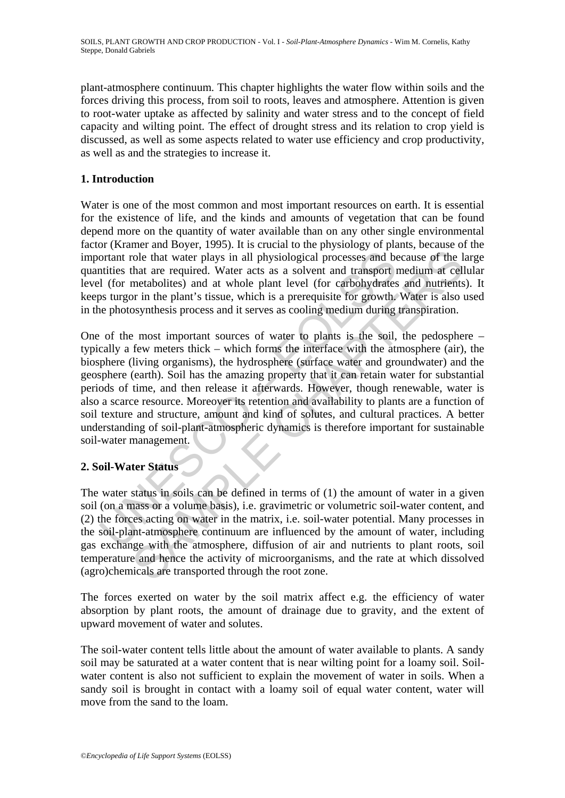plant-atmosphere continuum. This chapter highlights the water flow within soils and the forces driving this process, from soil to roots, leaves and atmosphere. Attention is given to root-water uptake as affected by salinity and water stress and to the concept of field capacity and wilting point. The effect of drought stress and its relation to crop yield is discussed, as well as some aspects related to water use efficiency and crop productivity, as well as and the strategies to increase it.

## **1. Introduction**

Water is one of the most common and most important resources on earth. It is essential for the existence of life, and the kinds and amounts of vegetation that can be found depend more on the quantity of water available than on any other single environmental factor (Kramer and Boyer, 1995). It is crucial to the physiology of plants, because of the important role that water plays in all physiological processes and because of the large quantities that are required. Water acts as a solvent and transport medium at cellular level (for metabolites) and at whole plant level (for carbohydrates and nutrients). It keeps turgor in the plant's tissue, which is a prerequisite for growth. Water is also used in the photosynthesis process and it serves as cooling medium during transpiration.

oriant role that water plays in all physiological processes and be<br>oriant role that water plays in all physiological processes and be<br>intities that are required. Water acts as a solvent and transport in<br>the lot of the most notice that water plays in all physiological processes and because of the lind are required. Water acts as a solvent and transport medium at cell<br>metabolities) and at whole plant level (for carbonydrates and nutrients<br>or i One of the most important sources of water to plants is the soil, the pedosphere – typically a few meters thick – which forms the interface with the atmosphere (air), the biosphere (living organisms), the hydrosphere (surface water and groundwater) and the geosphere (earth). Soil has the amazing property that it can retain water for substantial periods of time, and then release it afterwards. However, though renewable, water is also a scarce resource. Moreover its retention and availability to plants are a function of soil texture and structure, amount and kind of solutes, and cultural practices. A better understanding of soil-plant-atmospheric dynamics is therefore important for sustainable soil-water management.

## **2. Soil-Water Status**

The water status in soils can be defined in terms of (1) the amount of water in a given soil (on a mass or a volume basis), i.e. gravimetric or volumetric soil-water content, and (2) the forces acting on water in the matrix, i.e. soil-water potential. Many processes in the soil-plant-atmosphere continuum are influenced by the amount of water, including gas exchange with the atmosphere, diffusion of air and nutrients to plant roots, soil temperature and hence the activity of microorganisms, and the rate at which dissolved (agro)chemicals are transported through the root zone.

The forces exerted on water by the soil matrix affect e.g. the efficiency of water absorption by plant roots, the amount of drainage due to gravity, and the extent of upward movement of water and solutes.

The soil-water content tells little about the amount of water available to plants. A sandy soil may be saturated at a water content that is near wilting point for a loamy soil. Soilwater content is also not sufficient to explain the movement of water in soils. When a sandy soil is brought in contact with a loamy soil of equal water content, water will move from the sand to the loam.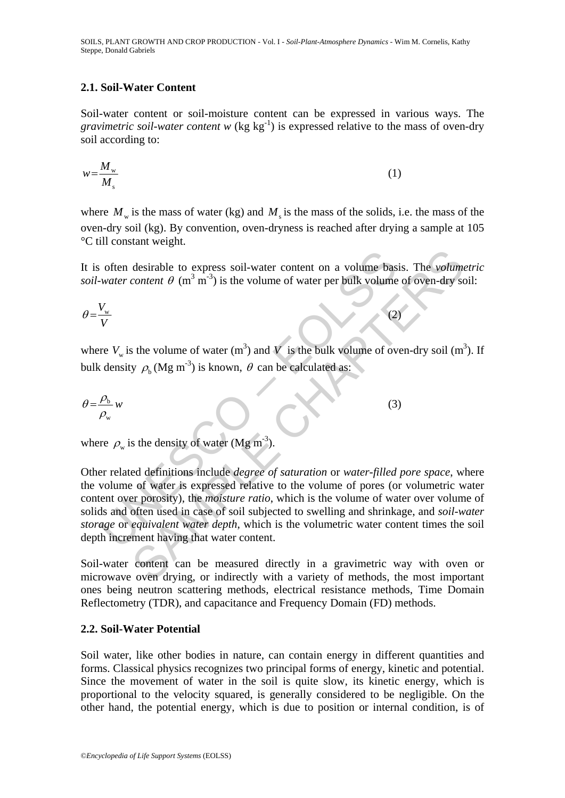SOILS, PLANT GROWTH AND CROP PRODUCTION - Vol. I - *Soil-Plant-Atmosphere Dynamics -* Wim M. Cornelis, Kathy Steppe, Donald Gabriels

### **2.1. Soil-Water Content**

Soil-water content or soil-moisture content can be expressed in various ways. The *gravimetric soil-water content*  $w$  (kg kg<sup>-1</sup>) is expressed relative to the mass of oven-dry soil according to:

$$
w = \frac{M_{\rm w}}{M_{\rm s}}\tag{1}
$$

where  $M_w$  is the mass of water (kg) and  $M_s$  is the mass of the solids, i.e. the mass of the oven-dry soil (kg). By convention, oven-dryness is reached after drying a sample at 105 °C till constant weight.

It is often desirable to express soil-water content on a volume basis. The *volumetric soil-water content*  $\theta$  (m<sup>3</sup> m<sup>-3</sup>) is the volume of water per bulk volume of oven-dry soil:

$$
\theta = \frac{V_{\rm w}}{V} \tag{2}
$$

where  $V_w$  is the volume of water (m<sup>3</sup>) and V is the bulk volume of oven-dry soil (m<sup>3</sup>). If bulk density  $\rho_b$  (Mg m<sup>-3</sup>) is known,  $\theta$  can be calculated as:

$$
\theta = \frac{\rho_{\rm b}}{\rho_{\rm w}} w \tag{3}
$$

where  $\rho_w$  is the density of water (Mg m<sup>-3</sup>).

often desirable to express soil-water content on a volume base<br>water content  $\theta$  (m<sup>3</sup> m<sup>-3</sup>) is the volume of water per bulk volume<br> $\frac{V_w}{V}$ <br>re  $V_w$  is the volume of water (m<sup>3</sup>) and V is the bulk volume of ov<br>density desirable to express soil-water content on a volume basis. The *volume*<br>content  $\theta$  (m<sup>3</sup> m<sup>3</sup>) is the volume of water per bulk volume of oven-dry so<br>the volume of water (m<sup>3</sup>) and *V* is the bulk volume of oven-dry soil Other related definitions include *degree of saturation* or *water-filled pore space*, where the volume of water is expressed relative to the volume of pores (or volumetric water content over porosity), the *moisture ratio*, which is the volume of water over volume of solids and often used in case of soil subjected to swelling and shrinkage, and *soil-water storage* or *equivalent water depth*, which is the volumetric water content times the soil depth increment having that water content.

Soil-water content can be measured directly in a gravimetric way with oven or microwave oven drying, or indirectly with a variety of methods, the most important ones being neutron scattering methods, electrical resistance methods, Time Domain Reflectometry (TDR), and capacitance and Frequency Domain (FD) methods.

## **2.2. Soil-Water Potential**

Soil water, like other bodies in nature, can contain energy in different quantities and forms. Classical physics recognizes two principal forms of energy, kinetic and potential. Since the movement of water in the soil is quite slow, its kinetic energy, which is proportional to the velocity squared, is generally considered to be negligible. On the other hand, the potential energy, which is due to position or internal condition, is of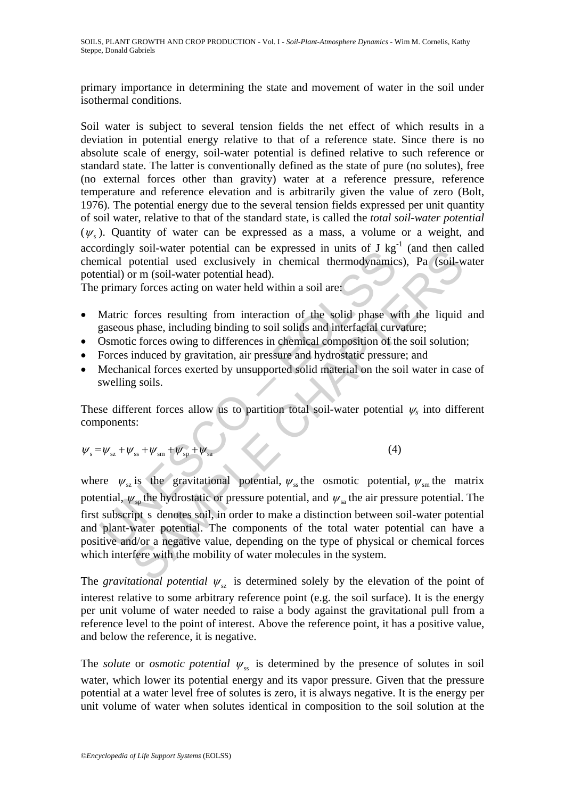SOILS, PLANT GROWTH AND CROP PRODUCTION - Vol. I - *Soil-Plant-Atmosphere Dynamics -* Wim M. Cornelis, Kathy Steppe, Donald Gabriels

primary importance in determining the state and movement of water in the soil under isothermal conditions.

Soil water is subject to several tension fields the net effect of which results in a deviation in potential energy relative to that of a reference state. Since there is no absolute scale of energy, soil-water potential is defined relative to such reference or standard state. The latter is conventionally defined as the state of pure (no solutes), free (no external forces other than gravity) water at a reference pressure, reference temperature and reference elevation and is arbitrarily given the value of zero (Bolt, 1976). The potential energy due to the several tension fields expressed per unit quantity of soil water, relative to that of the standard state, is called the *total soil-water potential*  $(\psi_{s})$ . Quantity of water can be expressed as a mass, a volume or a weight, and accordingly soil-water potential can be expressed in units of J  $\text{kg}^{-1}$  (and then called chemical potential used exclusively in chemical thermodynamics), Pa (soil-water potential) or m (soil-water potential head).

The primary forces acting on water held within a soil are:

- Matric forces resulting from interaction of the solid phase with the liquid and gaseous phase, including binding to soil solids and interfacial curvature;
- Osmotic forces owing to differences in chemical composition of the soil solution;
- Forces induced by gravitation, air pressure and hydrostatic pressure; and
- Mechanical forces exerted by unsupported solid material on the soil water in case of swelling soils.

These different forces allow us to partition total soil-water potential  $\psi_s$  into different components:

$$
\psi_{s} = \psi_{sz} + \psi_{ss} + \psi_{sm} + \psi_{sp} + \psi_{sa}
$$
 (4)

bumay solution water potential can be explessed in thinks of  $\vec{J}$  kg<br>mical potential used exclusively in chemical thermodynamic<br>mital) or m (soil-water potential head).<br>primary forces resulting from interaction of the son-water potential can be expressed in timis of J kg (and then can<br>potential and exclusively in chemical thermodynamics), Pa (soil-w<br>proformal and exclusively in chemical thermodynamics), Pa (soil-w<br>y forces acting on wa where  $\psi_{sz}$  is the gravitational potential,  $\psi_{ss}$  the osmotic potential,  $\psi_{sm}$  the matrix potential,  $\psi_{\rm sn}$  the hydrostatic or pressure potential, and  $\psi_{\rm sa}$  the air pressure potential. The first subscript s denotes soil, in order to make a distinction between soil-water potential and plant-water potential. The components of the total water potential can have a positive and/or a negative value, depending on the type of physical or chemical forces which interfere with the mobility of water molecules in the system.

The *gravitational potential*  $\psi_{sz}$  is determined solely by the elevation of the point of interest relative to some arbitrary reference point (e.g. the soil surface). It is the energy per unit volume of water needed to raise a body against the gravitational pull from a reference level to the point of interest. Above the reference point, it has a positive value, and below the reference, it is negative.

The *solute* or *osmotic potential*  $\psi_s$  is determined by the presence of solutes in soil water, which lower its potential energy and its vapor pressure. Given that the pressure potential at a water level free of solutes is zero, it is always negative. It is the energy per unit volume of water when solutes identical in composition to the soil solution at the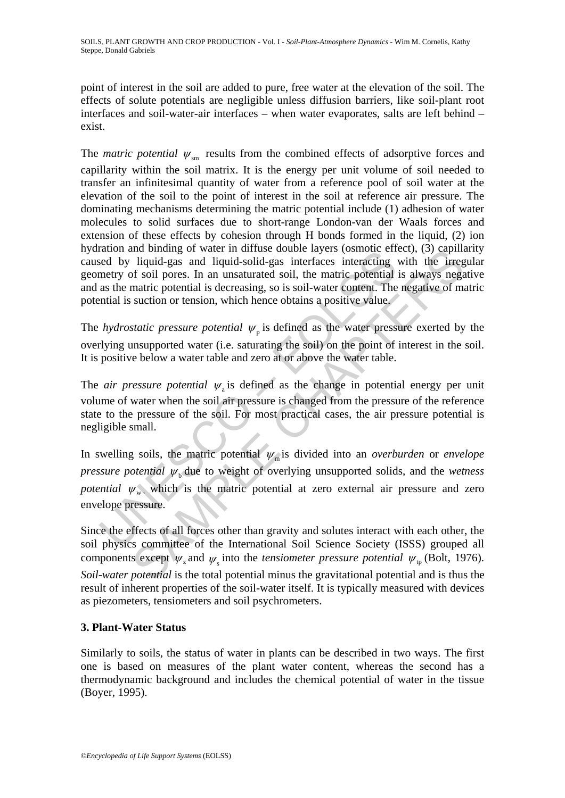point of interest in the soil are added to pure, free water at the elevation of the soil. The effects of solute potentials are negligible unless diffusion barriers, like soil-plant root interfaces and soil-water-air interfaces – when water evaporates, salts are left behind – exist.

The *matric potential*  $\psi_{\rm sm}$  results from the combined effects of adsorptive forces and capillarity within the soil matrix. It is the energy per unit volume of soil needed to transfer an infinitesimal quantity of water from a reference pool of soil water at the elevation of the soil to the point of interest in the soil at reference air pressure. The dominating mechanisms determining the matric potential include (1) adhesion of water molecules to solid surfaces due to short-range London-van der Waals forces and extension of these effects by cohesion through H bonds formed in the liquid, (2) ion hydration and binding of water in diffuse double layers (osmotic effect), (3) capillarity caused by liquid-gas and liquid-solid-gas interfaces interacting with the irregular geometry of soil pores. In an unsaturated soil, the matric potential is always negative and as the matric potential is decreasing, so is soil-water content. The negative of matric potential is suction or tension, which hence obtains a positive value.

The *hydrostatic pressure potential*  $\psi$ <sub>n</sub> is defined as the water pressure exerted by the overlying unsupported water (i.e. saturating the soil) on the point of interest in the soil. It is positive below a water table and zero at or above the water table.

The *air pressure potential*  $\psi$ <sub>a</sub> is defined as the change in potential energy per unit volume of water when the soil air pressure is changed from the pressure of the reference state to the pressure of the soil. For most practical cases, the air pressure potential is negligible small.

ation and bunding 0 water in units would have bundled by liquid-gas and liquid-solid-gas interfaces interacting metry of soil pores. In an unsaturated soil, the matric potential as the matric potential is decreasing, so i In omain of water in dirute colubie layers (osmotte principly, ( $\frac{1}{2}$ ) in liquid-gas and liquid-solid-gas interfaces interacting with the irregular of soil pores. In an unstaturated soil, the matric potential is alway In swelling soils, the matric potential  $\psi_m$  is divided into an *overburden* or *envelope pressure potential*  $\psi_{\mu}$  due to weight of overlying unsupported solids, and the *wetness potential*  $\psi_{w}$ , which is the matric potential at zero external air pressure and zero envelope pressure.

Since the effects of all forces other than gravity and solutes interact with each other, the soil physics committee of the International Soil Science Society (ISSS) grouped all components except  $\psi$ <sub>z</sub> and  $\psi$ <sub>s</sub> into the *tensiometer pressure potential*  $\psi$ <sub>tp</sub> (Bolt, 1976). *Soil-water potential* is the total potential minus the gravitational potential and is thus the result of inherent properties of the soil-water itself. It is typically measured with devices as piezometers, tensiometers and soil psychrometers.

## **3. Plant-Water Status**

Similarly to soils, the status of water in plants can be described in two ways. The first one is based on measures of the plant water content, whereas the second has a thermodynamic background and includes the chemical potential of water in the tissue (Boyer, 1995).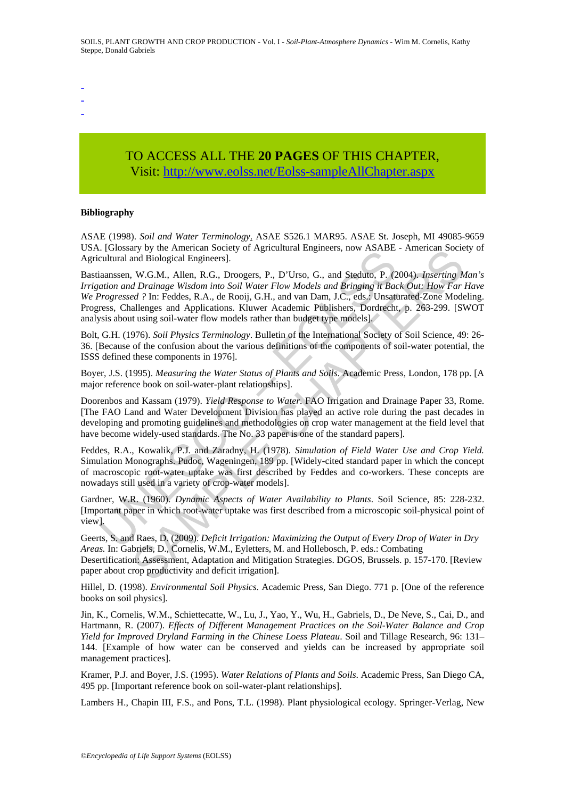- -
- -

# TO ACCESS ALL THE **20 PAGES** OF THIS CHAPTER, Visit[: http://www.eolss.net/Eolss-sampleAllChapter.aspx](https://www.eolss.net/ebooklib/sc_cart.aspx?File=E1-05A-05-00)

#### **Bibliography**

ASAE (1998). *Soil and Water Terminology*. ASAE S526.1 MAR95. ASAE St. Joseph, MI 49085-9659 USA. [Glossary by the American Society of Agricultural Engineers, now ASABE - American Society of Agricultural and Biological Engineers].

r Guossary by a Frienchean Sockey of Agitetican and Engineers, now ESFADE<br>cultural and Biological Engineers].<br>
iaanssen, W.G.M., Allen, R.G., Droogers, P., D'Urso, G., and Steduto, P. (2<br>
ataion and Drainage Wisdom into So ay by use American soores<br>and Biological Engineers].<br>
W.G.M., Allen, R.G., Droogers, P., D'Urso, G., and Steduto, P. (2004). *Inserting M*<br> *M.G.M.*, Allen, R.G., Droogers, P., D'Urso, G., and Steduto, P. (2004). *Insertin* Bastiaanssen, W.G.M., Allen, R.G., Droogers, P., D'Urso, G., and Steduto, P. (2004). *Inserting Man's Irrigation and Drainage Wisdom into Soil Water Flow Models and Bringing it Back Out: How Far Have We Progressed ?* In: Feddes, R.A., de Rooij, G.H., and van Dam, J.C., eds.: Unsaturated-Zone Modeling. Progress, Challenges and Applications. Kluwer Academic Publishers, Dordrecht, p. 263-299. [SWOT analysis about using soil-water flow models rather than budget type models].

Bolt, G.H. (1976). *Soil Physics Terminology*. Bulletin of the International Society of Soil Science, 49: 26- 36. [Because of the confusion about the various definitions of the components of soil-water potential, the ISSS defined these components in 1976].

Boyer, J.S. (1995). *Measuring the Water Status of Plants and Soils*. Academic Press, London, 178 pp. [A major reference book on soil-water-plant relationships].

Doorenbos and Kassam (1979). *Yield Response to Water*. FAO Irrigation and Drainage Paper 33, Rome. [The FAO Land and Water Development Division has played an active role during the past decades in developing and promoting guidelines and methodologies on crop water management at the field level that have become widely-used standards. The No. 33 paper is one of the standard papers].

Feddes, R.A., Kowalik, P.J. and Zaradny, H. (1978). *Simulation of Field Water Use and Crop Yield.* Simulation Monographs. Pudoc, Wageningen, 189 pp. [Widely-cited standard paper in which the concept of macroscopic root-water uptake was first described by Feddes and co-workers. These concepts are nowadays still used in a variety of crop-water models].

Gardner, W.R. (1960). *Dynamic Aspects of Water Availability to Plants*. Soil Science, 85: 228-232. [Important paper in which root-water uptake was first described from a microscopic soil-physical point of view].

Geerts, S. and Raes, D. (2009). *Deficit Irrigation: Maximizing the Output of Every Drop of Water in Dry Areas.* In: Gabriels, D., Cornelis, W.M., Eyletters, M. and Hollebosch, P. eds.: Combating Desertification: Assessment, Adaptation and Mitigation Strategies. DGOS, Brussels. p. 157-170. [Review paper about crop productivity and deficit irrigation].

Hillel, D. (1998). *Environmental Soil Physics*. Academic Press, San Diego. 771 p. [One of the reference books on soil physics].

Jin, K., Cornelis, W.M., Schiettecatte, W., Lu, J., Yao, Y., Wu, H., Gabriels, D., De Neve, S., Cai, D., and Hartmann, R. (2007). *Effects of Different Management Practices on the Soil-Water Balance and Crop Yield for Improved Dryland Farming in the Chinese Loess Plateau*. Soil and Tillage Research, 96: 131– 144. [Example of how water can be conserved and yields can be increased by appropriate soil management practices].

Kramer, P.J. and Boyer, J.S. (1995). *Water Relations of Plants and Soils*. Academic Press, San Diego CA, 495 pp. [Important reference book on soil-water-plant relationships].

Lambers H., Chapin III, F.S., and Pons, T.L. (1998). Plant physiological ecology. Springer-Verlag, New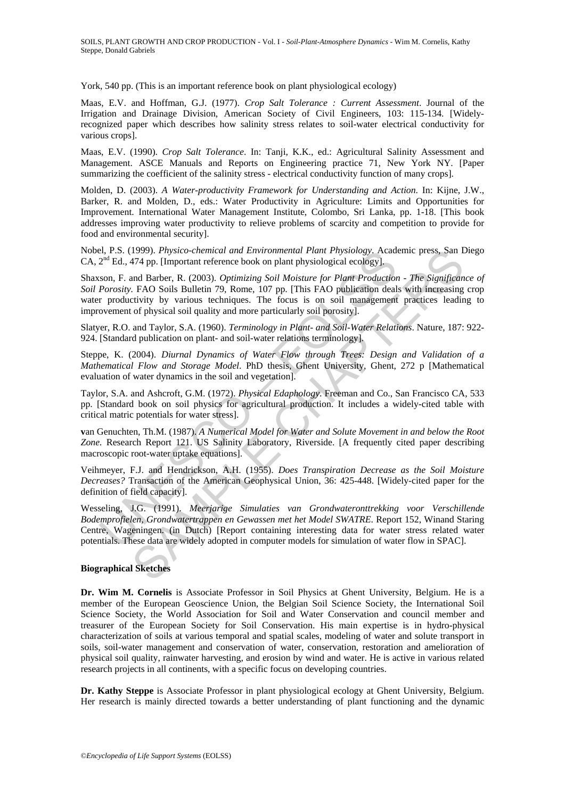York, 540 pp. (This is an important reference book on plant physiological ecology)

Maas, E.V. and Hoffman, G.J. (1977). *Crop Salt Tolerance : Current Assessment*. Journal of the Irrigation and Drainage Division, American Society of Civil Engineers, 103: 115-134. [Widelyrecognized paper which describes how salinity stress relates to soil-water electrical conductivity for various crops].

Maas, E.V. (1990). *Crop Salt Tolerance*. In: Tanji, K.K., ed.: Agricultural Salinity Assessment and Management. ASCE Manuals and Reports on Engineering practice 71, New York NY. [Paper summarizing the coefficient of the salinity stress - electrical conductivity function of many crops].

Molden, D. (2003). *A Water-productivity Framework for Understanding and Action*. In: Kijne, J.W., Barker, R. and Molden, D., eds.: Water Productivity in Agriculture: Limits and Opportunities for Improvement. International Water Management Institute, Colombo, Sri Lanka, pp. 1-18. [This book addresses improving water productivity to relieve problems of scarcity and competition to provide for food and environmental security].

Nobel, P.S. (1999). *Physico-chemical and Environmental Plant Physiology*. Academic press, San Diego  $CA, 2<sup>nd</sup> Ed, 474$  pp. Herefortant reference book on plant physiological ecology].

Shaxson, F. and Barber, R. (2003). *Optimizing Soil Moisture for Plant Production - The Significance of Soil Porosity.* FAO Soils Bulletin 79, Rome, 107 pp. [This FAO publication deals with increasing crop water productivity by various techniques. The focus is on soil management practices leading to improvement of physical soil quality and more particularly soil porosity].

Slatyer, R.O. and Taylor, S.A. (1960). *Terminology in Plant- and Soil-Water Relations*. Nature, 187: 922- 924. [Standard publication on plant- and soil-water relations terminology].

Steppe, K. (2004). *Diurnal Dynamics of Water Flow through Trees: Design and Validation of a Mathematical Flow and Storage Model*. PhD thesis, Ghent University, Ghent, 272 p [Mathematical evaluation of water dynamics in the soil and vegetation].

Taylor, S.A. and Ashcroft, G.M. (1972). *Physical Edaphology*. Freeman and Co., San Francisco CA, 533 pp. [Standard book on soil physics for agricultural production. It includes a widely-cited table with critical matric potentials for water stress].

**v**an Genuchten, Th.M. (1987). *A Numerical Model for Water and Solute Movement in and below the Root Zone.* Research Report 121. US Salinity Laboratory, Riverside. [A frequently cited paper describing macroscopic root-water uptake equations].

Veihmeyer, F.J. and Hendrickson, A.H. (1955). *Does Transpiration Decrease as the Soil Moisture Decreases?* Transaction of the American Geophysical Union, 36: 425-448. [Widely-cited paper for the definition of field capacity].

H, P.S. (1999). Physico-chemical and Environmential Plant Physiology. Acade, 474 pp. [This Falt prottant reference book on plant physiological ecology].<br>
2<sup>nd</sup> Ed., 474 pp. [Important reference book on plant physiological 1999). Physioc-chemical and Environmental Plant Physiology, Academic press, San I.<br>1999). Physioc-chemical and Environmental Plant Physiology, Academic press, San I.<br>1949 pp. Umportant reference book on plant physiological Wesseling, J.G. (1991). *Meerjarige Simulaties van Grondwateronttrekking voor Verschillende Bodemprofielen, Grondwatertrappen en Gewassen met het Model SWATRE*. Report 152, Winand Staring Centre, Wageningen. (in Dutch) [Report containing interesting data for water stress related water potentials. These data are widely adopted in computer models for simulation of water flow in SPAC].

#### **Biographical Sketches**

**Dr. Wim M. Cornelis** is Associate Professor in Soil Physics at Ghent University, Belgium. He is a member of the European Geoscience Union, the Belgian Soil Science Society, the International Soil Science Society, the World Association for Soil and Water Conservation and council member and treasurer of the European Society for Soil Conservation. His main expertise is in hydro-physical characterization of soils at various temporal and spatial scales, modeling of water and solute transport in soils, soil-water management and conservation of water, conservation, restoration and amelioration of physical soil quality, rainwater harvesting, and erosion by wind and water. He is active in various related research projects in all continents, with a specific focus on developing countries.

**Dr. Kathy Steppe** is Associate Professor in plant physiological ecology at Ghent University, Belgium. Her research is mainly directed towards a better understanding of plant functioning and the dynamic